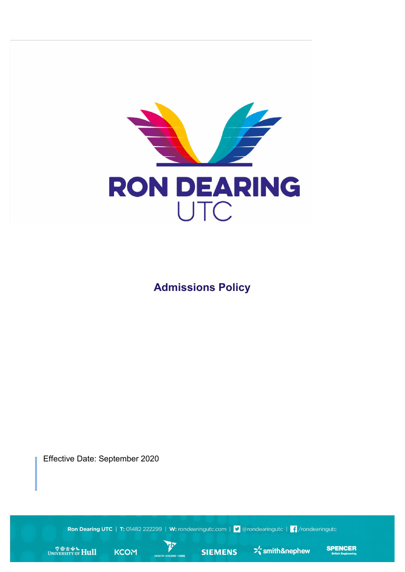

**Admissions Policy**

Effective Date: September 2020

Ron Dearing UTC | T: 01482 222299 | W: rondearingutc.com | V @rondearingutc | f /rondearingutc

**P** 

WINIVERSITY OF Hull







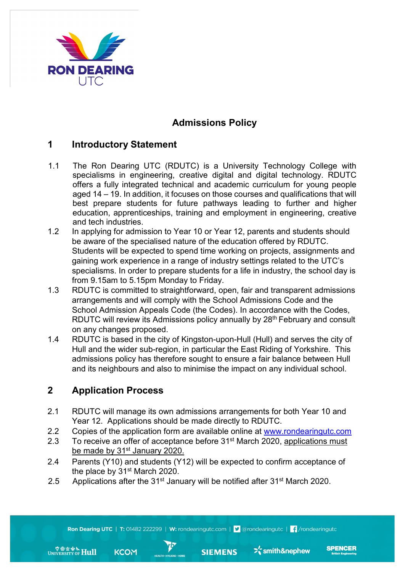

# **Admissions Policy**

#### **1 Introductory Statement**

- 1.1 The Ron Dearing UTC (RDUTC) is a University Technology College with specialisms in engineering, creative digital and digital technology. RDUTC offers a fully integrated technical and academic curriculum for young people aged 14 – 19. In addition, it focuses on those courses and qualifications that will best prepare students for future pathways leading to further and higher education, apprenticeships, training and employment in engineering, creative and tech industries.
- 1.2 In applying for admission to Year 10 or Year 12, parents and students should be aware of the specialised nature of the education offered by RDUTC. Students will be expected to spend time working on projects, assignments and gaining work experience in a range of industry settings related to the UTC's specialisms. In order to prepare students for a life in industry, the school day is from 9.15am to 5.15pm Monday to Friday.
- 1.3 RDUTC is committed to straightforward, open, fair and transparent admissions arrangements and will comply with the School Admissions Code and the School Admission Appeals Code (the Codes). In accordance with the Codes, RDUTC will review its Admissions policy annually by 28<sup>th</sup> February and consult on any changes proposed.
- 1.4 RDUTC is based in the city of Kingston-upon-Hull (Hull) and serves the city of Hull and the wider sub-region, in particular the East Riding of Yorkshire. This admissions policy has therefore sought to ensure a fair balance between Hull and its neighbours and also to minimise the impact on any individual school.

## **2 Application Process**

WINIVERSITY OF Hull

- 2.1 RDUTC will manage its own admissions arrangements for both Year 10 and Year 12. Applications should be made directly to RDUTC.
- 2.2 Copies of the application form are available online at www.rondearingutc.com
- 2.3 To receive an offer of acceptance before 31<sup>st</sup> March 2020, applications must be made by 31<sup>st</sup> January 2020.
- 2.4 Parents (Y10) and students (Y12) will be expected to confirm acceptance of the place by 31<sup>st</sup> March 2020.
- 2.5 Applications after the  $31<sup>st</sup>$  January will be notified after  $31<sup>st</sup>$  March 2020.

 $\bm{r}$ 

**FRALTH > HYGIENE > HOMI** 

**KCOM** 

Ron Dearing UTC | T: 01482 222299 | W: rondearingutc.com | J @rondearingutc | f /rondearingutc

**SIEMENS** 

**SPENCER** 

 $\sum_{n=1}^{\infty}$ smith&nephew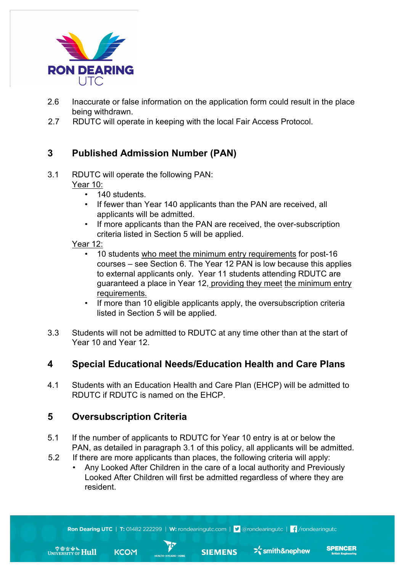

- 2.6 Inaccurate or false information on the application form could result in the place being withdrawn.
- 2.7 RDUTC will operate in keeping with the local Fair Access Protocol.

#### **3 Published Admission Number (PAN)**

3.1 RDUTC will operate the following PAN:

Year 10:

- 140 students.
- If fewer than Year 140 applicants than the PAN are received, all applicants will be admitted.
- If more applicants than the PAN are received, the over-subscription criteria listed in Section 5 will be applied.

Year 12:

- 10 students who meet the minimum entry requirements for post-16 courses – see Section 6. The Year 12 PAN is low because this applies to external applicants only. Year 11 students attending RDUTC are guaranteed a place in Year 12, providing they meet the minimum entry requirements.
- If more than 10 eligible applicants apply, the oversubscription criteria listed in Section 5 will be applied.
- 3.3 Students will not be admitted to RDUTC at any time other than at the start of Year 10 and Year 12.

#### **4 Special Educational Needs/Education Health and Care Plans**

4.1 Students with an Education Health and Care Plan (EHCP) will be admitted to RDUTC if RDUTC is named on the EHCP.

#### **5 Oversubscription Criteria**

**KCOM** 

WINIVERSITY OF **Hull** 

- 5.1 If the number of applicants to RDUTC for Year 10 entry is at or below the PAN, as detailed in paragraph 3.1 of this policy, all applicants will be admitted.
- 5.2 If there are more applicants than places, the following criteria will apply:
	- Any Looked After Children in the care of a local authority and Previously Looked After Children will first be admitted regardless of where they are resident.

**SIEMENS** 

**SPENCER** 

 $\sum_{n=1}^{\infty}$ smith&nephew

Ron Dearing UTC | T: 01482 222299 | W: rondearingutc.com | 9 @rondearingutc | f /rondearingutc

rb

**HEALTH • HYGIENE • HOM**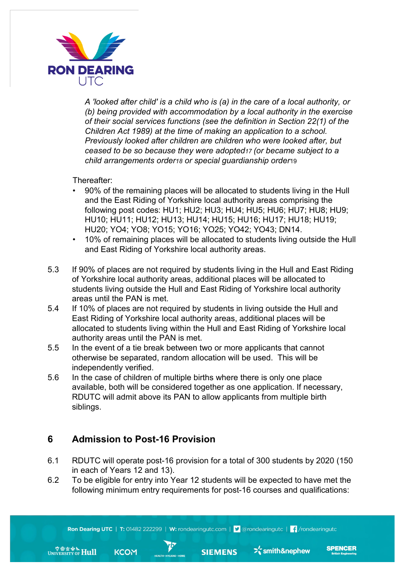

*A 'looked after child' is a child who is (a) in the care of a local authority, or (b) being provided with accommodation by a local authority in the exercise of their social services functions (see the definition in Section 22(1) of the Children Act 1989) at the time of making an application to a school. Previously looked after children are children who were looked after, but ceased to be so because they were adopted17 (or became subject to a child arrangements order18 or special guardianship order*19

Thereafter:

- 90% of the remaining places will be allocated to students living in the Hull and the East Riding of Yorkshire local authority areas comprising the following post codes: HU1; HU2; HU3; HU4; HU5; HU6; HU7; HU8; HU9; HU10; HU11; HU12; HU13; HU14; HU15; HU16; HU17; HU18; HU19; HU20; YO4; YO8; YO15; YO16; YO25; YO42; YO43; DN14.
- 10% of remaining places will be allocated to students living outside the Hull and East Riding of Yorkshire local authority areas.
- 5.3 If 90% of places are not required by students living in the Hull and East Riding of Yorkshire local authority areas, additional places will be allocated to students living outside the Hull and East Riding of Yorkshire local authority areas until the PAN is met.
- 5.4 If 10% of places are not required by students in living outside the Hull and East Riding of Yorkshire local authority areas, additional places will be allocated to students living within the Hull and East Riding of Yorkshire local authority areas until the PAN is met.
- 5.5 In the event of a tie break between two or more applicants that cannot otherwise be separated, random allocation will be used. This will be independently verified.
- 5.6 In the case of children of multiple births where there is only one place available, both will be considered together as one application. If necessary, RDUTC will admit above its PAN to allow applicants from multiple birth siblings.

#### **6 Admission to Post-16 Provision**

- 6.1 RDUTC will operate post-16 provision for a total of 300 students by 2020 (150 in each of Years 12 and 13).
- 6.2 To be eligible for entry into Year 12 students will be expected to have met the following minimum entry requirements for post-16 courses and qualifications:

Ron Dearing UTC | T: 01482 222299 | W: rondearingutc.com | 9 @rondearingutc | f /rondearingutc

**SPENCER** 

 $\sum_{n=1}^{\infty}$ smith&nephew



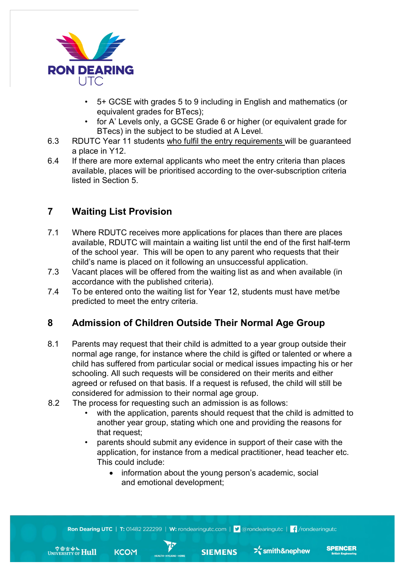

- 5+ GCSE with grades 5 to 9 including in English and mathematics (or equivalent grades for BTecs);
- for A' Levels only, a GCSE Grade 6 or higher (or equivalent grade for BTecs) in the subject to be studied at A Level.
- 6.3 RDUTC Year 11 students who fulfil the entry requirements will be guaranteed a place in Y12.
- 6.4 If there are more external applicants who meet the entry criteria than places available, places will be prioritised according to the over-subscription criteria listed in Section 5.

# **7 Waiting List Provision**

- 7.1 Where RDUTC receives more applications for places than there are places available, RDUTC will maintain a waiting list until the end of the first half-term of the school year. This will be open to any parent who requests that their child's name is placed on it following an unsuccessful application.
- 7.3 Vacant places will be offered from the waiting list as and when available (in accordance with the published criteria).
- 7.4 To be entered onto the waiting list for Year 12, students must have met/be predicted to meet the entry criteria.

## **8 Admission of Children Outside Their Normal Age Group**

- 8.1 Parents may request that their child is admitted to a year group outside their normal age range, for instance where the child is gifted or talented or where a child has suffered from particular social or medical issues impacting his or her schooling. All such requests will be considered on their merits and either agreed or refused on that basis. If a request is refused, the child will still be considered for admission to their normal age group.
- 8.2 The process for requesting such an admission is as follows:
	- with the application, parents should request that the child is admitted to another year group, stating which one and providing the reasons for that request;
	- parents should submit any evidence in support of their case with the application, for instance from a medical practitioner, head teacher etc. This could include:
		- information about the young person's academic, social and emotional development;

**SIEMENS** 

**SPENCER** 

 $\sum_{n=1}^{\infty}$ smith&nephew



 $\mathcal{P}$ 

**IEALTH • HYGIENE • HOMI** 

**KCOM**